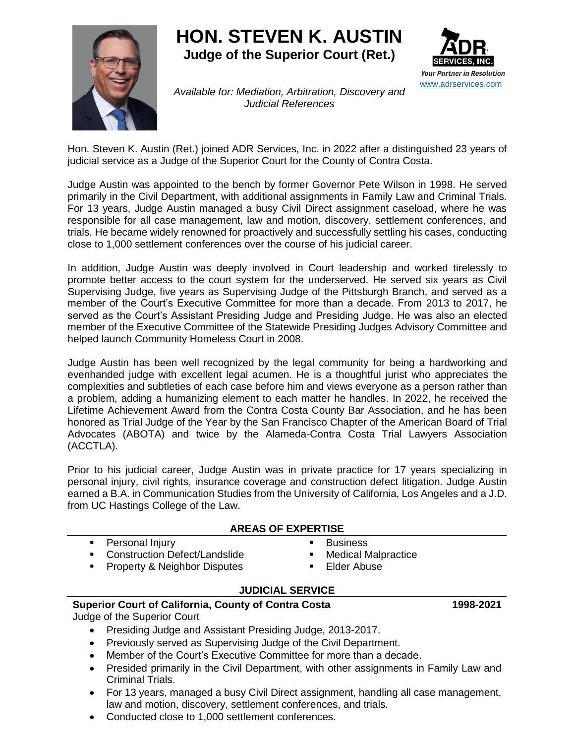

## **HON. STEVEN K. AUSTIN Judge of the Superior Court (Ret.)**



*Available for: Mediation, Arbitration, Discovery and Judicial References*

Hon. Steven K. Austin (Ret.) joined ADR Services, Inc. in 2022 after a distinguished 23 years of judicial service as a Judge of the Superior Court for the County of Contra Costa.

Judge Austin was appointed to the bench by former Governor Pete Wilson in 1998. He served primarily in the Civil Department, with additional assignments in Family Law and Criminal Trials. For 13 years, Judge Austin managed a busy Civil Direct assignment caseload, where he was responsible for all case management, law and motion, discovery, settlement conferences, and trials. He became widely renowned for proactively and successfully settling his cases, conducting close to 1,000 settlement conferences over the course of his judicial career.

In addition, Judge Austin was deeply involved in Court leadership and worked tirelessly to promote better access to the court system for the underserved. He served six years as Civil Supervising Judge, five years as Supervising Judge of the Pittsburgh Branch, and served as a member of the Court's Executive Committee for more than a decade. From 2013 to 2017, he served as the Court's Assistant Presiding Judge and Presiding Judge. He was also an elected member of the Executive Committee of the Statewide Presiding Judges Advisory Committee and helped launch Community Homeless Court in 2008.

Judge Austin has been well recognized by the legal community for being a hardworking and evenhanded judge with excellent legal acumen. He is a thoughtful jurist who appreciates the complexities and subtleties of each case before him and views everyone as a person rather than a problem, adding a humanizing element to each matter he handles. In 2022, he received the Lifetime Achievement Award from the Contra Costa County Bar Association, and he has been honored as Trial Judge of the Year by the San Francisco Chapter of the American Board of Trial Advocates (ABOTA) and twice by the Alameda-Contra Costa Trial Lawyers Association (ACCTLA).

Prior to his judicial career, Judge Austin was in private practice for 17 years specializing in personal injury, civil rights, insurance coverage and construction defect litigation. Judge Austin earned a B.A. in Communication Studies from the University of California, Los Angeles and a J.D. from UC Hastings College of the Law.

## **AREAS OF EXPERTISE**

- Personal Injury **Business Business**
- Construction Defect/Landslide Medical Malpractice
- -
- **Property & Neighbor Disputes Elder Abuse** 
	- **JUDICIAL SERVICE**

# **Superior Court of California, County of Contra Costa 1998-2021**

- Judge of the Superior Court
	- Presiding Judge and Assistant Presiding Judge, 2013-2017.
	- Previously served as Supervising Judge of the Civil Department.
	- Member of the Court's Executive Committee for more than a decade.
	- Presided primarily in the Civil Department, with other assignments in Family Law and Criminal Trials.
	- For 13 years, managed a busy Civil Direct assignment, handling all case management, law and motion, discovery, settlement conferences, and trials.
	- Conducted close to 1,000 settlement conferences.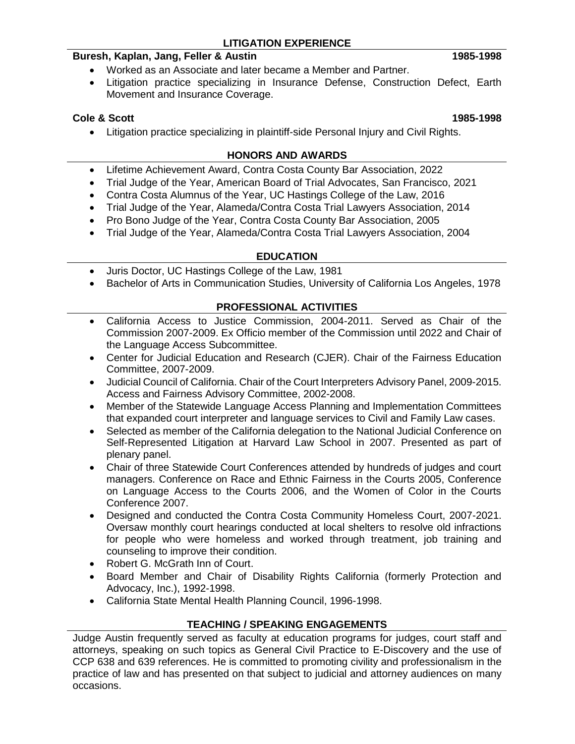## **Buresh, Kaplan, Jang, Feller & Austin 1985-1998**

- 
- Worked as an Associate and later became a Member and Partner.
- Litigation practice specializing in Insurance Defense, Construction Defect, Earth Movement and Insurance Coverage.

## **Cole & Scott 1985-1998**

Litigation practice specializing in plaintiff-side Personal Injury and Civil Rights.

## **HONORS AND AWARDS**

- Lifetime Achievement Award, Contra Costa County Bar Association, 2022
- Trial Judge of the Year, American Board of Trial Advocates, San Francisco, 2021
- Contra Costa Alumnus of the Year, UC Hastings College of the Law, 2016
- Trial Judge of the Year, Alameda/Contra Costa Trial Lawyers Association, 2014
- Pro Bono Judge of the Year, Contra Costa County Bar Association, 2005
- Trial Judge of the Year, Alameda/Contra Costa Trial Lawyers Association, 2004

## **EDUCATION**

- Juris Doctor, UC Hastings College of the Law, 1981
- Bachelor of Arts in Communication Studies, University of California Los Angeles, 1978

## **PROFESSIONAL ACTIVITIES**

- California Access to Justice Commission, 2004-2011. Served as Chair of the Commission 2007-2009. Ex Officio member of the Commission until 2022 and Chair of the Language Access Subcommittee.
- Center for Judicial Education and Research (CJER). Chair of the Fairness Education Committee, 2007-2009.
- Judicial Council of California. Chair of the Court Interpreters Advisory Panel, 2009-2015. Access and Fairness Advisory Committee, 2002-2008.
- Member of the Statewide Language Access Planning and Implementation Committees that expanded court interpreter and language services to Civil and Family Law cases.
- Selected as member of the California delegation to the National Judicial Conference on Self-Represented Litigation at Harvard Law School in 2007. Presented as part of plenary panel.
- Chair of three Statewide Court Conferences attended by hundreds of judges and court managers. Conference on Race and Ethnic Fairness in the Courts 2005, Conference on Language Access to the Courts 2006, and the Women of Color in the Courts Conference 2007.
- Designed and conducted the Contra Costa Community Homeless Court, 2007-2021. Oversaw monthly court hearings conducted at local shelters to resolve old infractions for people who were homeless and worked through treatment, job training and counseling to improve their condition.
- Robert G. McGrath Inn of Court.
- Board Member and Chair of Disability Rights California (formerly Protection and Advocacy, Inc.), 1992-1998.
- California State Mental Health Planning Council, 1996-1998.

## **TEACHING / SPEAKING ENGAGEMENTS**

Judge Austin frequently served as faculty at education programs for judges, court staff and attorneys, speaking on such topics as General Civil Practice to E-Discovery and the use of CCP 638 and 639 references. He is committed to promoting civility and professionalism in the practice of law and has presented on that subject to judicial and attorney audiences on many occasions.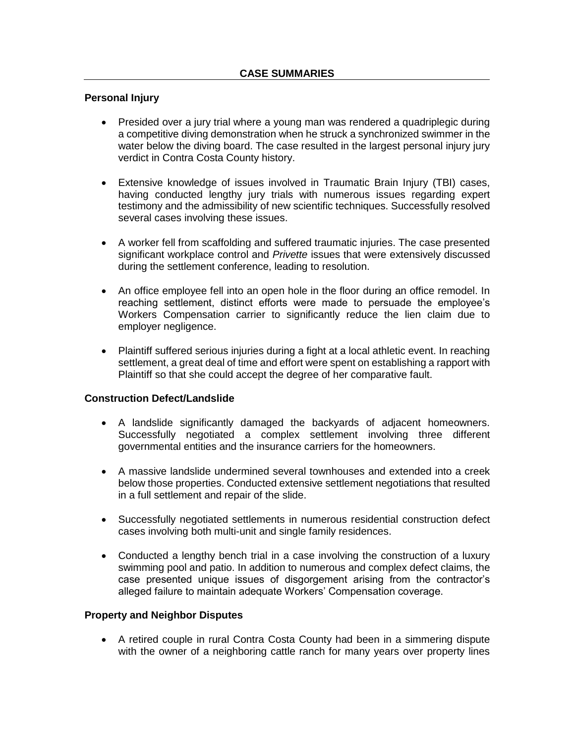## **Personal Injury**

- Presided over a jury trial where a young man was rendered a quadriplegic during a competitive diving demonstration when he struck a synchronized swimmer in the water below the diving board. The case resulted in the largest personal injury jury verdict in Contra Costa County history.
- Extensive knowledge of issues involved in Traumatic Brain Injury (TBI) cases, having conducted lengthy jury trials with numerous issues regarding expert testimony and the admissibility of new scientific techniques. Successfully resolved several cases involving these issues.
- A worker fell from scaffolding and suffered traumatic injuries. The case presented significant workplace control and *Privette* issues that were extensively discussed during the settlement conference, leading to resolution.
- An office employee fell into an open hole in the floor during an office remodel. In reaching settlement, distinct efforts were made to persuade the employee's Workers Compensation carrier to significantly reduce the lien claim due to employer negligence.
- Plaintiff suffered serious injuries during a fight at a local athletic event. In reaching settlement, a great deal of time and effort were spent on establishing a rapport with Plaintiff so that she could accept the degree of her comparative fault.

## **Construction Defect/Landslide**

- A landslide significantly damaged the backyards of adjacent homeowners. Successfully negotiated a complex settlement involving three different governmental entities and the insurance carriers for the homeowners.
- A massive landslide undermined several townhouses and extended into a creek below those properties. Conducted extensive settlement negotiations that resulted in a full settlement and repair of the slide.
- Successfully negotiated settlements in numerous residential construction defect cases involving both multi-unit and single family residences.
- Conducted a lengthy bench trial in a case involving the construction of a luxury swimming pool and patio. In addition to numerous and complex defect claims, the case presented unique issues of disgorgement arising from the contractor's alleged failure to maintain adequate Workers' Compensation coverage.

## **Property and Neighbor Disputes**

 A retired couple in rural Contra Costa County had been in a simmering dispute with the owner of a neighboring cattle ranch for many years over property lines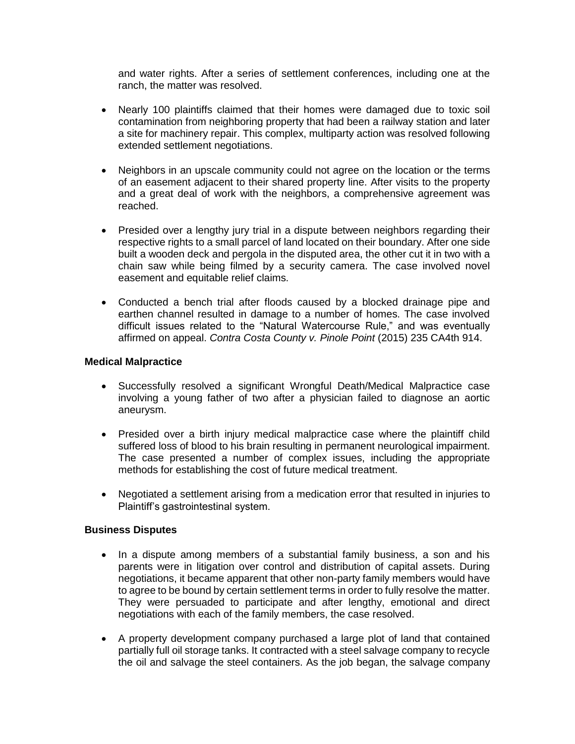and water rights. After a series of settlement conferences, including one at the ranch, the matter was resolved.

- Nearly 100 plaintiffs claimed that their homes were damaged due to toxic soil contamination from neighboring property that had been a railway station and later a site for machinery repair. This complex, multiparty action was resolved following extended settlement negotiations.
- Neighbors in an upscale community could not agree on the location or the terms of an easement adjacent to their shared property line. After visits to the property and a great deal of work with the neighbors, a comprehensive agreement was reached.
- Presided over a lengthy jury trial in a dispute between neighbors regarding their respective rights to a small parcel of land located on their boundary. After one side built a wooden deck and pergola in the disputed area, the other cut it in two with a chain saw while being filmed by a security camera. The case involved novel easement and equitable relief claims.
- Conducted a bench trial after floods caused by a blocked drainage pipe and earthen channel resulted in damage to a number of homes. The case involved difficult issues related to the "Natural Watercourse Rule," and was eventually affirmed on appeal. *Contra Costa County v. Pinole Point* (2015) 235 CA4th 914.

#### **Medical Malpractice**

- Successfully resolved a significant Wrongful Death/Medical Malpractice case involving a young father of two after a physician failed to diagnose an aortic aneurysm.
- Presided over a birth injury medical malpractice case where the plaintiff child suffered loss of blood to his brain resulting in permanent neurological impairment. The case presented a number of complex issues, including the appropriate methods for establishing the cost of future medical treatment.
- Negotiated a settlement arising from a medication error that resulted in injuries to Plaintiff's gastrointestinal system.

#### **Business Disputes**

- In a dispute among members of a substantial family business, a son and his parents were in litigation over control and distribution of capital assets. During negotiations, it became apparent that other non-party family members would have to agree to be bound by certain settlement terms in order to fully resolve the matter. They were persuaded to participate and after lengthy, emotional and direct negotiations with each of the family members, the case resolved.
- A property development company purchased a large plot of land that contained partially full oil storage tanks. It contracted with a steel salvage company to recycle the oil and salvage the steel containers. As the job began, the salvage company